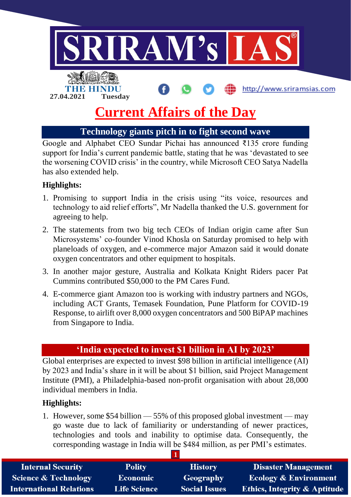

# **Current Affairs of the Day**

**Technology giants pitch in to fight second wave**

Google and Alphabet CEO Sundar Pichai has announced ₹135 crore funding support for India's current pandemic battle, stating that he was 'devastated to see the worsening COVID crisis' in the country, while Microsoft CEO Satya Nadella has also extended help.

## **Highlights:**

- 1. Promising to support India in the crisis using "its voice, resources and technology to aid relief efforts", Mr Nadella thanked the U.S. government for agreeing to help.
- 2. The statements from two big tech CEOs of Indian origin came after Sun Microsystems' co-founder Vinod Khosla on Saturday promised to help with planeloads of oxygen, and e-commerce major Amazon said it would donate oxygen concentrators and other equipment to hospitals.
- 3. In another major gesture, Australia and Kolkata Knight Riders pacer Pat Cummins contributed \$50,000 to the PM Cares Fund.
- 4. E-commerce giant Amazon too is working with industry partners and NGOs, including ACT Grants, Temasek Foundation, Pune Platform for COVID-19 Response, to airlift over 8,000 oxygen concentrators and 500 BiPAP machines from Singapore to India.

# **'India expected to invest \$1 billion in AI by 2023'**

Global enterprises are expected to invest \$98 billion in artificial intelligence (AI) by 2023 and India's share in it will be about \$1 billion, said Project Management Institute (PMI), a Philadelphia-based non-profit organisation with about 28,000 individual members in India.

## **Highlights:**

1. However, some \$54 billion — 55% of this proposed global investment — may go waste due to lack of familiarity or understanding of newer practices, technologies and tools and inability to optimise data. Consequently, the corresponding wastage in India will be \$484 million, as per PMI's estimates.

| <b>Internal Security</b>        | <b>Polity</b>       | <b>History</b>       | <b>Disaster Management</b>              |  |  |  |
|---------------------------------|---------------------|----------------------|-----------------------------------------|--|--|--|
| <b>Science &amp; Technology</b> | <b>Economic</b>     | Geography            | <b>Ecology &amp; Environment</b>        |  |  |  |
| <b>International Relations</b>  | <b>Life Science</b> | <b>Social Issues</b> | <b>Ethics, Integrity &amp; Aptitude</b> |  |  |  |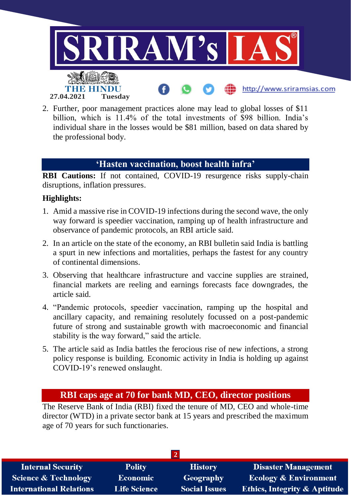

2. Further, poor management practices alone may lead to global losses of \$11 billion, which is 11.4% of the total investments of \$98 billion. India's individual share in the losses would be \$81 million, based on data shared by the professional body.

#### **'Hasten vaccination, boost health infra'**

**RBI Cautions:** If not contained, COVID-19 resurgence risks supply-chain disruptions, inflation pressures.

#### **Highlights:**

- 1. Amid a massive rise in COVID-19 infections during the second wave, the only way forward is speedier vaccination, ramping up of health infrastructure and observance of pandemic protocols, an RBI article said.
- 2. In an article on the state of the economy, an RBI bulletin said India is battling a spurt in new infections and mortalities, perhaps the fastest for any country of continental dimensions.
- 3. Observing that healthcare infrastructure and vaccine supplies are strained, financial markets are reeling and earnings forecasts face downgrades, the article said.
- 4. "Pandemic protocols, speedier vaccination, ramping up the hospital and ancillary capacity, and remaining resolutely focussed on a post-pandemic future of strong and sustainable growth with macroeconomic and financial stability is the way forward," said the article.
- 5. The article said as India battles the ferocious rise of new infections, a strong policy response is building. Economic activity in India is holding up against COVID-19's renewed onslaught.

# **RBI caps age at 70 for bank MD, CEO, director positions**

The Reserve Bank of India (RBI) fixed the tenure of MD, CEO and whole-time director (WTD) in a private sector bank at 15 years and prescribed the maximum age of 70 years for such functionaries.

| <b>Internal Security</b>       | <b>Polity</b>       | <b>History</b>       | <b>Disaster Management</b>              |  |  |  |
|--------------------------------|---------------------|----------------------|-----------------------------------------|--|--|--|
| Science & Technology           | <b>Economic</b>     | Geography            | <b>Ecology &amp; Environment</b>        |  |  |  |
| <b>International Relations</b> | <b>Life Science</b> | <b>Social Issues</b> | <b>Ethics, Integrity &amp; Aptitude</b> |  |  |  |